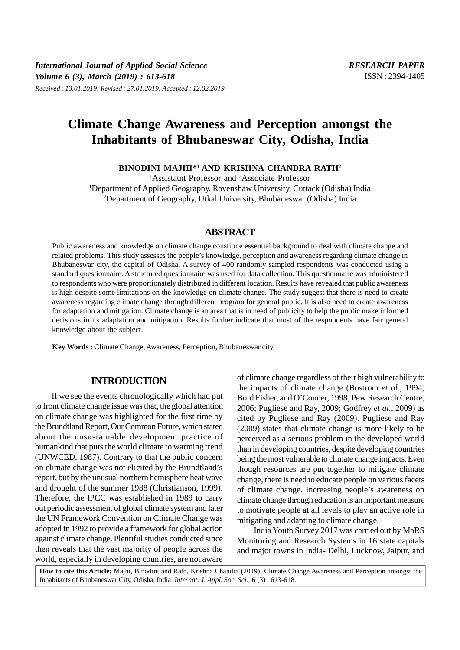# **Climate Change Awareness and Perception amongst the Inhabitants of Bhubaneswar City, Odisha, India**

**BINODINI MAJHI\*<sup>1</sup> AND KRISHNA CHANDRA RATH<sup>2</sup>**

<sup>1</sup>Assistatnt Professor and <sup>2</sup>Associate Professor <sup>1</sup>Department of Applied Geography, Ravenshaw University, Cuttack (Odisha) India <sup>2</sup>Department of Geography, Utkal University, Bhubaneswar (Odisha) India

# **ABSTRACT**

Public awareness and knowledge on climate change constitute essential background to deal with climate change and related problems. This study assesses the people's knowledge, perception and awareness regarding climate change in Bhubaneswar city, the capital of Odisha. A survey of 400 randomly sampled respondents was conducted using a standard questionnaire. A structured questionnaire was used for data collection. This questionnaire was administered to respondents who were proportionately distributed in different location. Results have revealed that public awareness is high despite some limitations on the knowledge on climate change. The study suggest that there is need to create awareness regarding climate change through different program for general public. It is also need to create awareness for adaptation and mitigation. Climate change is an area that is in need of publicity to help the public make informed decisions in its adaptation and mitigation. Results further indicate that most of the respondents have fair general knowledge about the subject.

**Key Words :** Climate Change, Awareness, Perception, Bhubaneswar city

# **INTRODUCTION**

If we see the events chronologically which had put to front climate change issue was that, the global attention on climate change was highlighted for the first time by the Brundtland Report, Our Common Future, which stated about the unsustainable development practice of humankind that puts the world climate to warming trend (UNWCED, 1987). Contrary to that the public concern on climate change was not elicited by the Brundtland's report, but by the unusual northern hemisphere heat wave and drought of the summer 1988 (Christianson, 1999). Therefore, the IPCC was established in 1989 to carry out periodic assessment of global climate system and later the UN Framework Convention on Climate Change was adopted in 1992 to provide a framework for global action against climate change. Plentiful studies conducted since then reveals that the vast majority of people across the world, especially in developing countries, are not aware

of climate change regardless of their high vulnerability to the impacts of climate change (Bostrom *et al.*, 1994; Bord Fisher, and O'Conner, 1998; Pew Research Centre, 2006; Pugliese and Ray, 2009; Godfrey *et al.*, 2009) as cited by Pugliese and Ray (2009). Pugliese and Ray (2009) states that climate change is more likely to be perceived as a serious problem in the developed world than in developing countries, despite developing countries being the most vulnerable to climate change impacts. Even though resources are put together to mitigate climate change, there is need to educate people on various facets of climate change. Increasing people's awareness on climate change through education is an important measure to motivate people at all levels to play an active role in mitigating and adapting to climate change.

India Youth Survey 2017 was carried out by MaRS Monitoring and Research Systems in 16 state capitals and major towns in India- Delhi, Lucknow, Jaipur, and

**How to cite this Article:** Majhi, Binodini and Rath, Krishna Chandra (2019). Climate Change Awareness and Perception amongst the Inhabitants of Bhubaneswar City, Odisha, India. *Internat. J. Appl. Soc. Sci.,* **6** (3) : 613-618.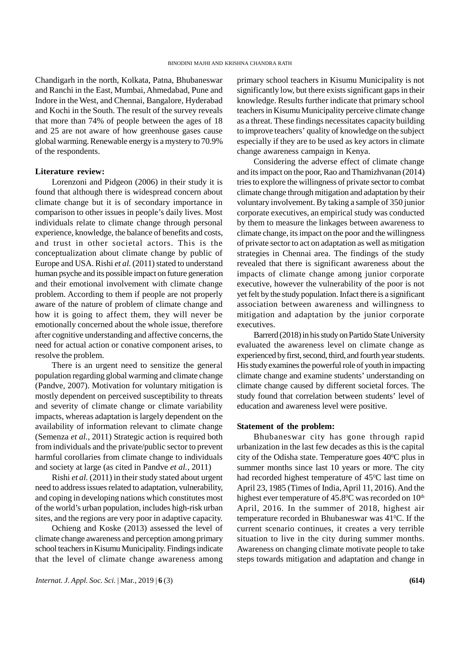Chandigarh in the north, Kolkata, Patna, Bhubaneswar and Ranchi in the East, Mumbai, Ahmedabad, Pune and Indore in the West, and Chennai, Bangalore, Hyderabad and Kochi in the South. The result of the survey reveals that more than 74% of people between the ages of 18 and 25 are not aware of how greenhouse gases cause global warming. Renewable energy is a mystery to 70.9% of the respondents.

#### **Literature review:**

Lorenzoni and Pidgeon (2006) in their study it is found that although there is widespread concern about climate change but it is of secondary importance in comparison to other issues in people's daily lives. Most individuals relate to climate change through personal experience, knowledge, the balance of benefits and costs, and trust in other societal actors. This is the conceptualization about climate change by public of Europe and USA. Rishi *et al.* (2011) stated to understand human psyche and its possible impact on future generation and their emotional involvement with climate change problem. According to them if people are not properly aware of the nature of problem of climate change and how it is going to affect them, they will never be emotionally concerned about the whole issue, therefore after cognitive understanding and affective concerns, the need for actual action or conative component arises, to resolve the problem.

There is an urgent need to sensitize the general population regarding global warming and climate change (Pandve, 2007). Motivation for voluntary mitigation is mostly dependent on perceived susceptibility to threats and severity of climate change or climate variability impacts, whereas adaptation is largely dependent on the availability of information relevant to climate change (Semenza *et al.*, 2011) Strategic action is required both from individuals and the private/public sector to prevent harmful corollaries from climate change to individuals and society at large (as cited in Pandve *et al.*, 2011)

Rishi *et al.* (2011) in their study stated about urgent need to address issues related to adaptation, vulnerability, and coping in developing nations which constitutes most of the world's urban population, includes high-risk urban sites, and the regions are very poor in adaptive capacity.

Ochieng and Koske (2013) assessed the level of climate change awareness and perception among primary school teachers in Kisumu Municipality. Findings indicate that the level of climate change awareness among

primary school teachers in Kisumu Municipality is not significantly low, but there exists significant gaps in their knowledge. Results further indicate that primary school teachers in Kisumu Municipality perceive climate change as a threat. These findings necessitates capacity building to improve teachers' quality of knowledge on the subject especially if they are to be used as key actors in climate change awareness campaign in Kenya.

Considering the adverse effect of climate change and its impact on the poor, Rao and Thamizhvanan (2014) tries to explore the willingness of private sector to combat climate change through mitigation and adaptation by their voluntary involvement. By taking a sample of 350 junior corporate executives, an empirical study was conducted by them to measure the linkages between awareness to climate change, its impact on the poor and the willingness of private sector to act on adaptation as well as mitigation strategies in Chennai area. The findings of the study revealed that there is significant awareness about the impacts of climate change among junior corporate executive, however the vulnerability of the poor is not yet felt by the study population. Infact there is a significant association between awareness and willingness to mitigation and adaptation by the junior corporate executives.

Barrerd (2018) in his study on Partido State University evaluated the awareness level on climate change as experienced by first, second, third, and fourth year students. His study examines the powerful role of youth in impacting climate change and examine students' understanding on climate change caused by different societal forces. The study found that correlation between students' level of education and awareness level were positive.

#### **Statement of the problem:**

Bhubaneswar city has gone through rapid urbanization in the last few decades as this is the capital city of the Odisha state. Temperature goes 400C plus in summer months since last 10 years or more. The city had recorded highest temperature of 45<sup>o</sup>C last time on April 23, 1985 (Times of India, April 11, 2016). And the highest ever temperature of  $45.8^{\circ}$ C was recorded on  $10^{\text{th}}$ April, 2016. In the summer of 2018, highest air temperature recorded in Bhubaneswar was 41<sup>o</sup>C. If the current scenario continues, it creates a very terrible situation to live in the city during summer months. Awareness on changing climate motivate people to take steps towards mitigation and adaptation and change in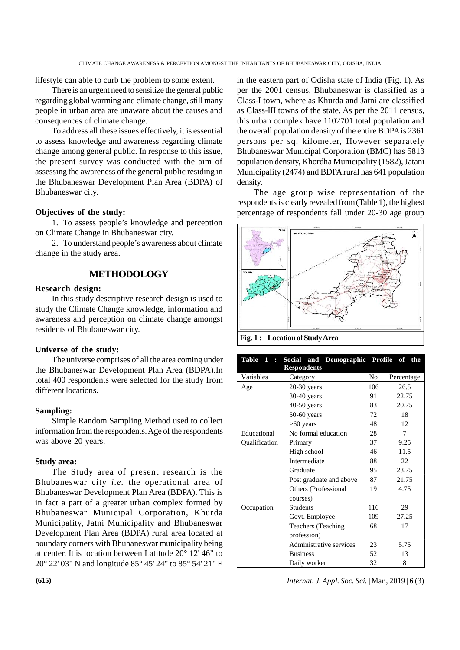lifestyle can able to curb the problem to some extent.

There is an urgent need to sensitize the general public regarding global warming and climate change, still many people in urban area are unaware about the causes and consequences of climate change.

To address all these issues effectively, it is essential to assess knowledge and awareness regarding climate change among general public. In response to this issue, the present survey was conducted with the aim of assessing the awareness of the general public residing in the Bhubaneswar Development Plan Area (BDPA) of Bhubaneswar city.

## **Objectives of the study:**

1. To assess people's knowledge and perception on Climate Change in Bhubaneswar city.

2. To understand people's awareness about climate change in the study area.

# **METHODOLOGY**

#### **Research design:**

In this study descriptive research design is used to study the Climate Change knowledge, information and awareness and perception on climate change amongst residents of Bhubaneswar city.

## **Universe of the study:**

The universe comprises of all the area coming under the Bhubaneswar Development Plan Area (BDPA).In total 400 respondents were selected for the study from different locations.

## **Sampling:**

Simple Random Sampling Method used to collect information from the respondents. Age of the respondents was above 20 years.

## **Study area:**

The Study area of present research is the Bhubaneswar city *i.e.* the operational area of Bhubaneswar Development Plan Area (BDPA). This is in fact a part of a greater urban complex formed by Bhubaneswar Municipal Corporation, Khurda Municipality, Jatni Municipality and Bhubaneswar Development Plan Area (BDPA) rural area located at boundary corners with Bhubaneswar municipality being at center. It is location between Latitude 20° 12' 46" to 20° 22' 03" N and longitude 85° 45' 24" to 85° 54' 21" E

in the eastern part of Odisha state of India (Fig. 1). As per the 2001 census, Bhubaneswar is classified as a Class-I town, where as Khurda and Jatni are classified as Class-III towns of the state. As per the 2011 census, this urban complex have 1102701 total population and the overall population density of the entire BDPA is 2361 persons per sq. kilometer, However separately Bhubaneswar Municipal Corporation (BMC) has 5813 population density, Khordha Municipality (1582), Jatani Municipality (2474) and BDPA rural has 641 population density.

The age group wise representation of the respondents is clearly revealed from(Table 1), the highest percentage of respondents fall under 20-30 age group



**Fig. 1 : Location of Study Area**

| Table 1 :     | Social and Demographic Profile of<br><b>Respondents</b> |     | the        |
|---------------|---------------------------------------------------------|-----|------------|
| Variables     | Category                                                | No  | Percentage |
| Age           | $20-30$ years                                           | 106 | 26.5       |
|               | $30-40$ years                                           | 91  | 22.75      |
|               | $40-50$ years                                           | 83  | 20.75      |
|               | $50-60$ years                                           | 72  | 18         |
|               | $>60$ years                                             | 48  | 12         |
| Educational   | No formal education                                     | 28  | 7          |
| Qualification | Primary                                                 | 37  | 9.25       |
|               | High school                                             | 46  | 11.5       |
|               | Intermediate                                            | 88  | 22         |
|               | Graduate                                                | 95  | 23.75      |
|               | Post graduate and above                                 | 87  | 21.75      |
|               | Others (Professional                                    | 19  | 4.75       |
|               | courses)                                                |     |            |
| Occupation    | <b>Students</b>                                         | 116 | 29         |
|               | Govt. Employee                                          | 109 | 27.25      |
|               | Teachers (Teaching)                                     | 68  | 17         |
|               | profession)                                             |     |            |
|               | Administrative services                                 | 23  | 5.75       |
|               | <b>Business</b>                                         | 52  | 13         |
|               | Daily worker                                            | 32  | 8          |

**(615)** *Internat. J. Appl. Soc. Sci.* | Mar., 2019 | **6** (3)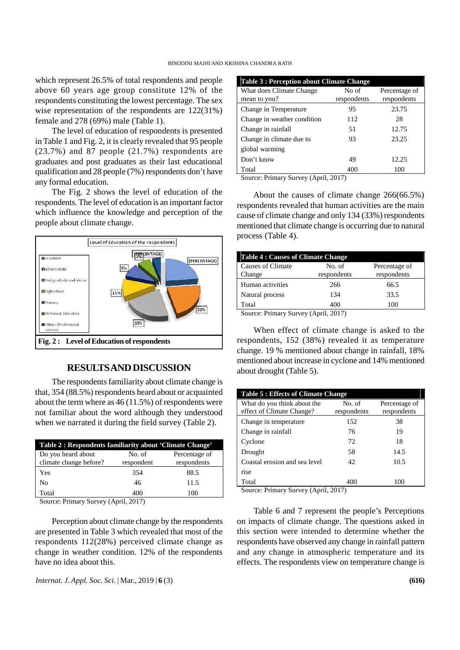which represent 26.5% of total respondents and people above 60 years age group constitute 12% of the respondents constituting the lowest percentage. The sex wise representation of the respondents are 122(31%) female and 278 (69%) male (Table 1).

The level of education of respondents is presented in Table 1 and Fig. 2, it is clearly revealed that 95 people (23.7%) and 87 people (21.7%) respondents are graduates and post graduates as their last educational qualification and 28 people (7%) respondents don't have any formal education.

The Fig. 2 shows the level of education of the respondents. The level of education is an important factor which influence the knowledge and perception of the people about climate change.



# **RESULTSAND DISCUSSION**

The respondents familiarity about climate change is that, 354 (88.5%) respondents heard about or acquainted about the term where as 46 (11.5%) of respondents were not familiar about the word although they understood when we narrated it during the field survey (Table 2).

| Table 2 : Respondents familiarity about 'Climate Change' |                      |                              |
|----------------------------------------------------------|----------------------|------------------------------|
| Do you heard about<br>climate change before?             | No. of<br>respondent | Percentage of<br>respondents |
| Yes                                                      | 354                  | 88.5                         |
| No                                                       | 46                   | 11.5                         |
| Total                                                    | 400                  | 100                          |

Source: Primary Survey (April, 2017)

Perception about climate change by the respondents are presented in Table 3 which revealed that most of the respondents 112(28%) perceived climate change as change in weather condition. 12% of the respondents have no idea about this.

*Internat. J. Appl. Soc. Sci.* | Mar., 2019 | **6** (3) **(616)**

| Table 3 : Perception about Climate Change |                      |                              |  |
|-------------------------------------------|----------------------|------------------------------|--|
| What does Climate Change<br>mean to you?  | No of<br>respondents | Percentage of<br>respondents |  |
| Change in Temperature                     | 95                   | 23.75                        |  |
| Change in weather condition               | 112                  | 28                           |  |
| Change in rainfall                        | 51                   | 12.75                        |  |
| Change in climate due to                  | 93                   | 23.25                        |  |
| global warming                            |                      |                              |  |
| Don't know                                | 49                   | 12.25                        |  |
| Total                                     | 400                  | 100                          |  |

Source: Primary Survey (April, 2017)

About the causes of climate change 266(66.5%) respondents revealed that human activities are the main cause of climate change and only 134 (33%) respondents mentioned that climate change is occurring due to natural process (Table 4).

| <b>Table 4: Causes of Climate Change</b> |                       |                              |  |
|------------------------------------------|-----------------------|------------------------------|--|
| Causes of Climate<br>Change              | No. of<br>respondents | Percentage of<br>respondents |  |
| Human activities                         | 266                   | 66.5                         |  |
| Natural process                          | 134                   | 33.5                         |  |
| Total<br>-                               | 400<br>. .            | 100                          |  |

Source: Primary Survey (April, 2017)

When effect of climate change is asked to the respondents, 152 (38%) revealed it as temperature change. 19 % mentioned about change in rainfall, 18% mentioned about increase in cyclone and 14% mentioned about drought (Table 5).

| No. of<br>What do you think about the<br>Percentage of<br>effect of Climate Change?<br>respondents<br>respondents<br>152<br>38<br>Change in temperature<br>Change in rainfall<br>76<br>19<br>72<br>18<br>Cyclone<br>58<br>14.5<br>Drought<br>Coastal erosion and sea level<br>42<br>10.5<br>rise | <b>Table 5: Effects of Climate Change</b> |     |     |  |
|--------------------------------------------------------------------------------------------------------------------------------------------------------------------------------------------------------------------------------------------------------------------------------------------------|-------------------------------------------|-----|-----|--|
|                                                                                                                                                                                                                                                                                                  |                                           |     |     |  |
|                                                                                                                                                                                                                                                                                                  |                                           |     |     |  |
|                                                                                                                                                                                                                                                                                                  |                                           |     |     |  |
|                                                                                                                                                                                                                                                                                                  |                                           |     |     |  |
|                                                                                                                                                                                                                                                                                                  |                                           |     |     |  |
|                                                                                                                                                                                                                                                                                                  |                                           |     |     |  |
|                                                                                                                                                                                                                                                                                                  |                                           |     |     |  |
| $\alpha$ $\mathbf{D}$ $\alpha$ $\alpha$ $\alpha$ $\alpha$ $\alpha$                                                                                                                                                                                                                               | Total                                     | 400 | 100 |  |

Source: Primary Survey (April, 2017)

Table 6 and 7 represent the people's Perceptions on impacts of climate change. The questions asked in this section were intended to determine whether the respondents have observed any change in rainfall pattern and any change in atmospheric temperature and its effects. The respondents view on temperature change is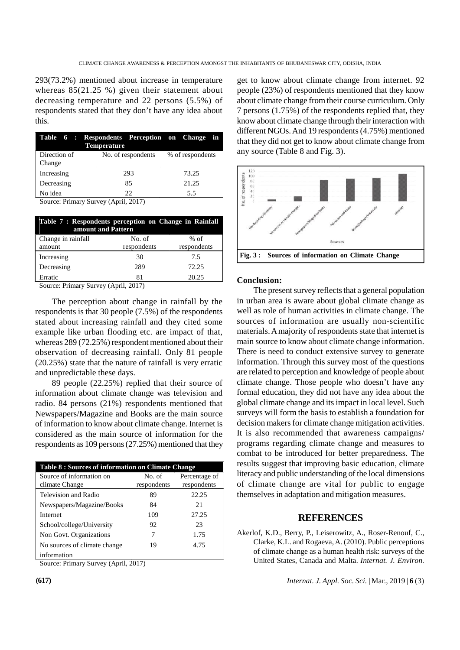293(73.2%) mentioned about increase in temperature whereas 85(21.25 %) given their statement about decreasing temperature and 22 persons (5.5%) of respondents stated that they don't have any idea about this.

|              | Table 6 : Respondents Perception on Change<br><b>Temperature</b> | in               |
|--------------|------------------------------------------------------------------|------------------|
| Direction of | No. of respondents                                               | % of respondents |
| Change       |                                                                  |                  |
| Increasing   | 293                                                              | 73.25            |
| Decreasing   | 85                                                               | 21.25            |
| No idea      | 22                                                               | 5.5              |
|              |                                                                  |                  |

Source: Primary Survey (April, 2017)

| Table 7 : Respondents perception on Change in Rainfall<br>amount and Pattern |             |             |  |
|------------------------------------------------------------------------------|-------------|-------------|--|
| Change in rainfall                                                           | No. of      | % of        |  |
| amount                                                                       | respondents | respondents |  |
| Increasing                                                                   | 30          | 7.5         |  |
| Decreasing                                                                   | 289         | 72.25       |  |
| Erratic                                                                      | 81          | 20.25       |  |

Source: Primary Survey (April, 2017)

The perception about change in rainfall by the respondents is that 30 people (7.5%) of the respondents stated about increasing rainfall and they cited some example like urban flooding etc. are impact of that, whereas 289 (72.25%) respondent mentioned about their observation of decreasing rainfall. Only 81 people (20.25%) state that the nature of rainfall is very erratic and unpredictable these days.

89 people (22.25%) replied that their source of information about climate change was television and radio. 84 persons (21%) respondents mentioned that Newspapers/Magazine and Books are the main source of information to know about climate change. Internet is considered as the main source of information for the respondents as 109 persons (27.25%) mentioned that they

| Table 8 : Sources of information on Climate Change |                       |                              |  |
|----------------------------------------------------|-----------------------|------------------------------|--|
| Source of information on<br>climate Change         | No. of<br>respondents | Percentage of<br>respondents |  |
| Television and Radio                               | 89                    | 22.25                        |  |
| Newspapers/Magazine/Books                          | 84                    | 21                           |  |
| Internet                                           | 109                   | 27.25                        |  |
| School/college/University                          | 92                    | 23                           |  |
| Non Govt. Organizations                            | 7                     | 1.75                         |  |
| No sources of climate change                       | 19                    | 4.75                         |  |
| information                                        |                       |                              |  |

Source: Primary Survey (April, 2017)

get to know about climate change from internet. 92 people (23%) of respondents mentioned that they know about climate change from their course curriculum. Only 7 persons (1.75%) of the respondents replied that, they know about climate change through their interaction with different NGOs. And 19 respondents (4.75%) mentioned that they did not get to know about climate change from any source (Table 8 and Fig. 3).



#### **Conclusion:**

The present survey reflects that a general population in urban area is aware about global climate change as well as role of human activities in climate change. The sources of information are usually non-scientific materials. A majority of respondents state that internet is main source to know about climate change information. There is need to conduct extensive survey to generate information. Through this survey most of the questions are related to perception and knowledge of people about climate change. Those people who doesn't have any formal education, they did not have any idea about the global climate change and its impact in local level. Such surveys will form the basis to establish a foundation for decision makers for climate change mitigation activities. It is also recommended that awareness campaigns/ programs regarding climate change and measures to combat to be introduced for better preparedness. The results suggest that improving basic education, climate literacy and public understanding of the local dimensions of climate change are vital for public to engage themselves in adaptation and mitigation measures.

## **REFERENCES**

Akerlof, K.D., Berry, P., Leiserowitz, A., Roser-Renouf, C., Clarke, K.L. and Rogaeva, A. (2010). Public perceptions of climate change as a human health risk: surveys of the United States, Canada and Malta. *Internat. J. Environ.*

**(617)** *Internat. J. Appl. Soc. Sci.* | Mar., 2019 | **6** (3)